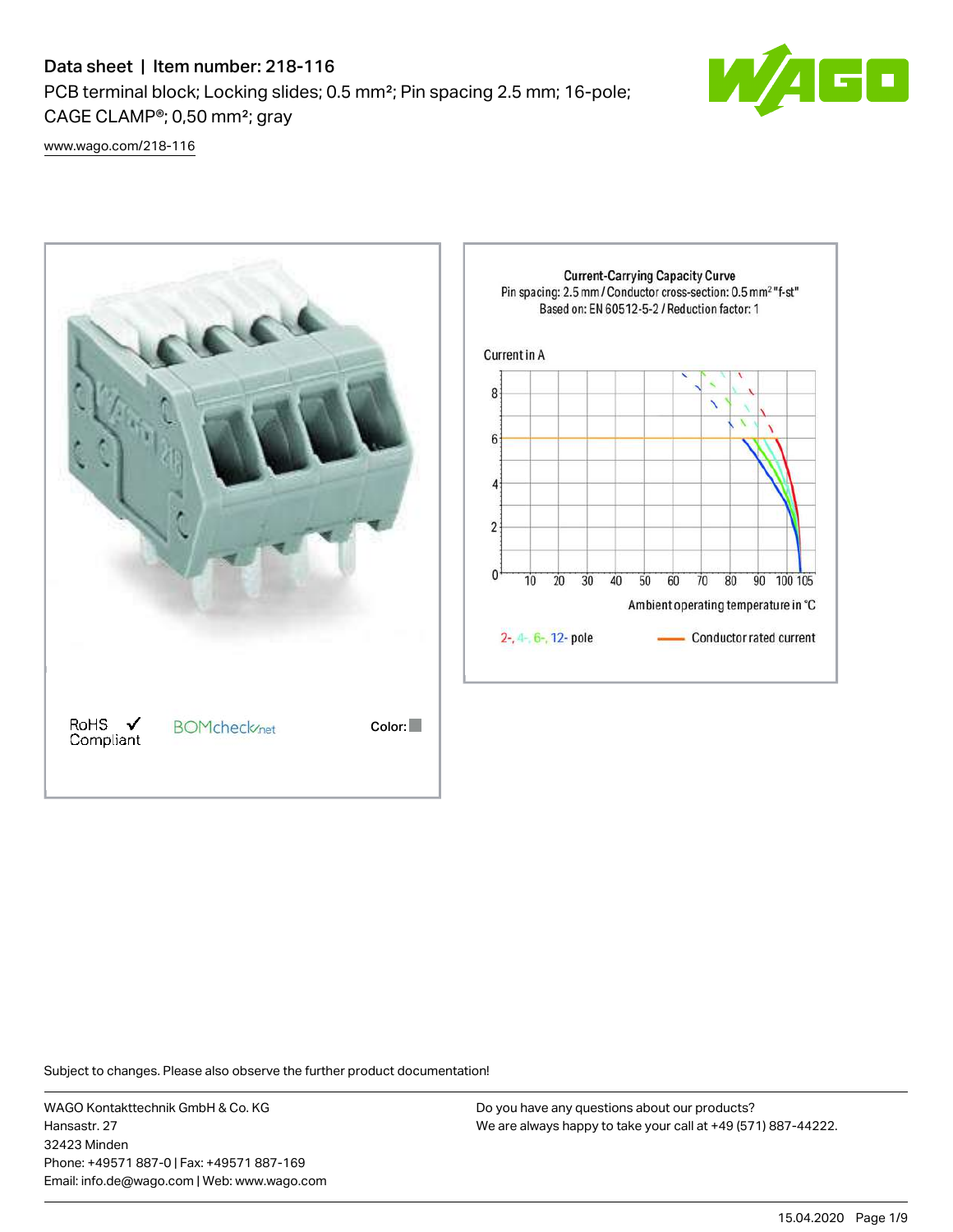# Data sheet | Item number: 218-116

PCB terminal block; Locking slides; 0.5 mm²; Pin spacing 2.5 mm; 16-pole; CAGE CLAMP®; 0,50 mm²; gray



[www.wago.com/218-116](http://www.wago.com/218-116)



Subject to changes. Please also observe the further product documentation!

WAGO Kontakttechnik GmbH & Co. KG Hansastr. 27 32423 Minden Phone: +49571 887-0 | Fax: +49571 887-169 Email: info.de@wago.com | Web: www.wago.com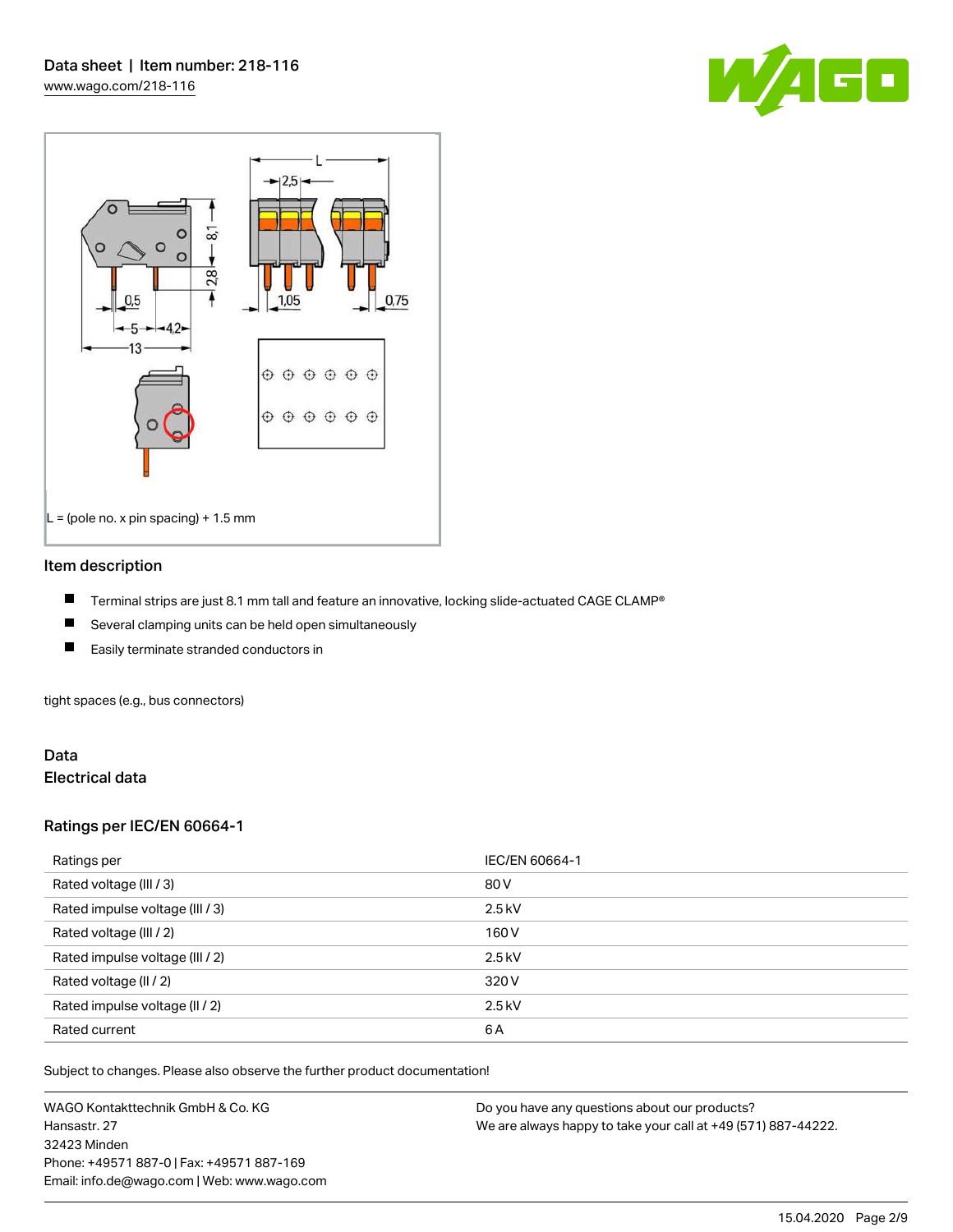



#### Item description

- П Terminal strips are just 8.1 mm tall and feature an innovative, locking slide-actuated CAGE CLAMP®
- $\blacksquare$ Several clamping units can be held open simultaneously
- П Easily terminate stranded conductors in

tight spaces (e.g., bus connectors)

#### Data Electrical data

#### Ratings per IEC/EN 60664-1

| Ratings per                     | IEC/EN 60664-1 |
|---------------------------------|----------------|
| Rated voltage (III / 3)         | 80 V           |
| Rated impulse voltage (III / 3) | $2.5$ kV       |
| Rated voltage (III / 2)         | 160 V          |
| Rated impulse voltage (III / 2) | $2.5$ kV       |
| Rated voltage (II / 2)          | 320 V          |
| Rated impulse voltage (II / 2)  | $2.5$ kV       |
| Rated current                   | 6A             |

Subject to changes. Please also observe the further product documentation!

WAGO Kontakttechnik GmbH & Co. KG Hansastr. 27 32423 Minden Phone: +49571 887-0 | Fax: +49571 887-169 Email: info.de@wago.com | Web: www.wago.com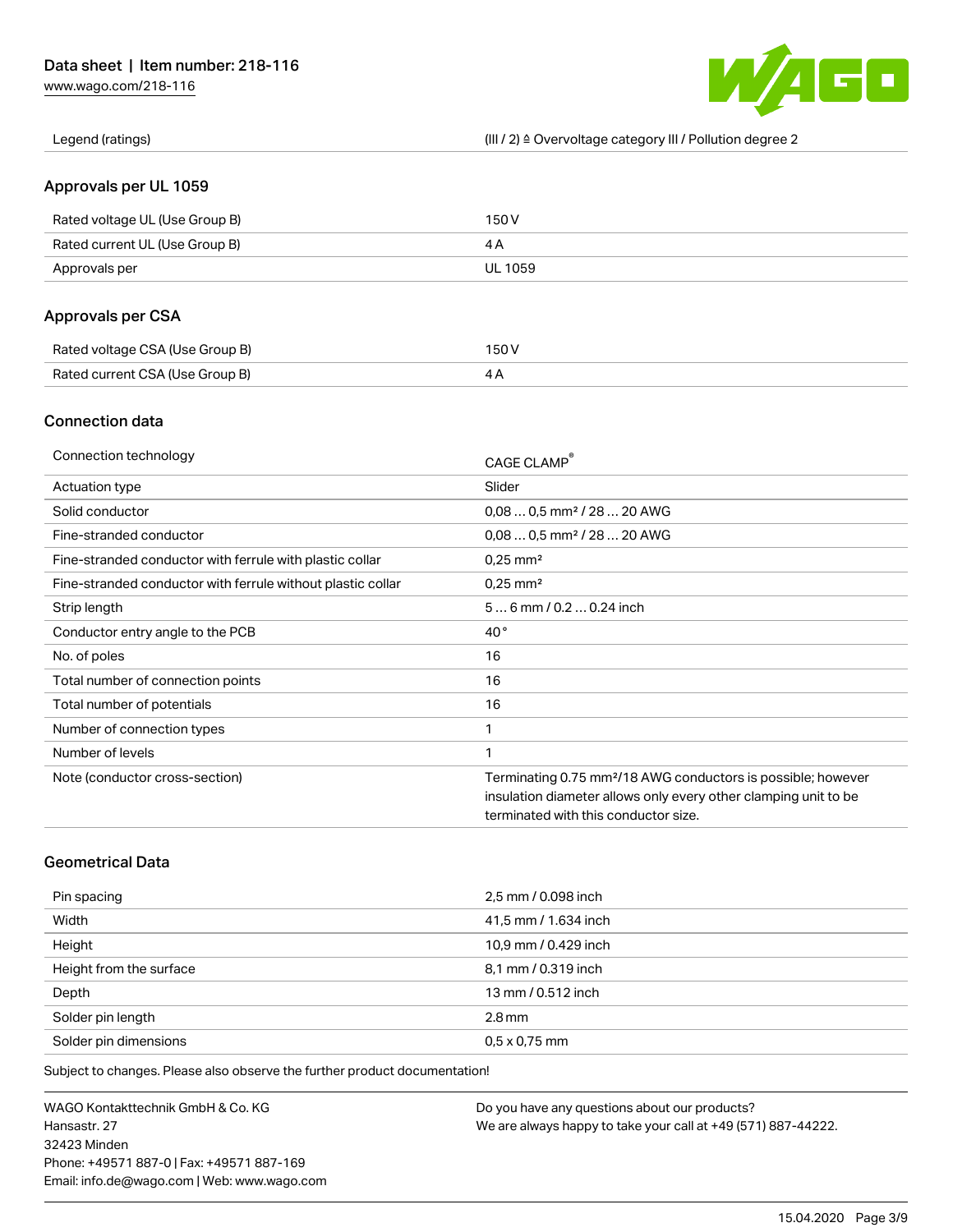[www.wago.com/218-116](http://www.wago.com/218-116)



Legend (ratings) (III / 2) ≙ Overvoltage category III / Pollution degree 2

#### Approvals per UL 1059

| Rated voltage UL (Use Group B) | 150 V   |
|--------------------------------|---------|
| Rated current UL (Use Group B) |         |
| Approvals per                  | UL 1059 |

# Approvals per CSA

| Rated voltage CSA (Use Group B) | 150 V |
|---------------------------------|-------|
| Rated current CSA (Use Group B) |       |

#### Connection data

| Connection technology                                       | CAGE CLAMP®                                                              |
|-------------------------------------------------------------|--------------------------------------------------------------------------|
| Actuation type                                              | Slider                                                                   |
| Solid conductor                                             | $0.080.5$ mm <sup>2</sup> / 28  20 AWG                                   |
| Fine-stranded conductor                                     | $0.080.5$ mm <sup>2</sup> / 28  20 AWG                                   |
| Fine-stranded conductor with ferrule with plastic collar    | $0.25$ mm <sup>2</sup>                                                   |
| Fine-stranded conductor with ferrule without plastic collar | $0.25$ mm <sup>2</sup>                                                   |
| Strip length                                                | $56$ mm $/ 0.20.24$ inch                                                 |
| Conductor entry angle to the PCB                            | $40^{\circ}$                                                             |
| No. of poles                                                | 16                                                                       |
| Total number of connection points                           | 16                                                                       |
| Total number of potentials                                  | 16                                                                       |
| Number of connection types                                  | 1                                                                        |
| Number of levels                                            | 1                                                                        |
| Note (conductor cross-section)                              | Terminating 0.75 mm <sup>2</sup> /18 AWG conductors is possible; however |
|                                                             | insulation diameter allows only every other clamping unit to be          |
|                                                             | terminated with this conductor size.                                     |

# Geometrical Data

| Pin spacing             | 2,5 mm / 0.098 inch  |
|-------------------------|----------------------|
| Width                   | 41,5 mm / 1.634 inch |
| Height                  | 10,9 mm / 0.429 inch |
| Height from the surface | 8,1 mm / 0.319 inch  |
| Depth                   | 13 mm / 0.512 inch   |
| Solder pin length       | $2.8 \,\mathrm{mm}$  |
| Solder pin dimensions   | $0.5 \times 0.75$ mm |

Subject to changes. Please also observe the further product documentation!

WAGO Kontakttechnik GmbH & Co. KG Hansastr. 27 32423 Minden Phone: +49571 887-0 | Fax: +49571 887-169 Email: info.de@wago.com | Web: www.wago.com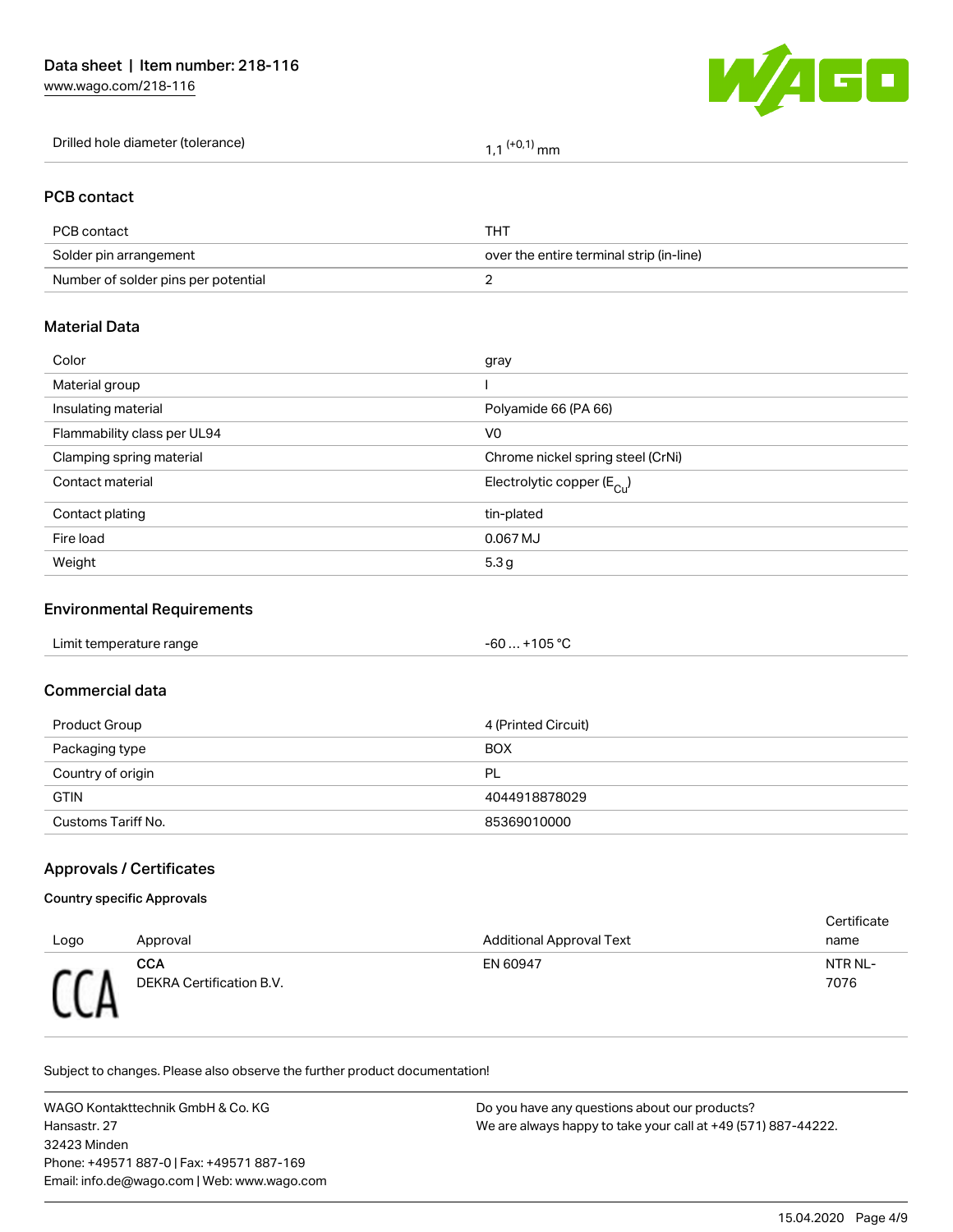[www.wago.com/218-116](http://www.wago.com/218-116)



| Drilled hole diameter (tolerance) | $(10,1)$ mm |
|-----------------------------------|-------------|
|-----------------------------------|-------------|

#### PCB contact

| PCB contact                         | THT                                      |
|-------------------------------------|------------------------------------------|
| Solder pin arrangement              | over the entire terminal strip (in-line) |
| Number of solder pins per potential |                                          |

#### Material Data

| Color                       | gray                                   |
|-----------------------------|----------------------------------------|
| Material group              |                                        |
| Insulating material         | Polyamide 66 (PA 66)                   |
| Flammability class per UL94 | V <sub>0</sub>                         |
| Clamping spring material    | Chrome nickel spring steel (CrNi)      |
| Contact material            | Electrolytic copper (E <sub>Cu</sub> ) |
| Contact plating             | tin-plated                             |
| Fire load                   | 0.067 MJ                               |
| Weight                      | 5.3 <sub>g</sub>                       |
|                             |                                        |

# Environmental Requirements

| Limit temperature range | $-60+105 °C$ |
|-------------------------|--------------|
|                         |              |

#### Commercial data

| Product Group      | 4 (Printed Circuit) |
|--------------------|---------------------|
| Packaging type     | <b>BOX</b>          |
| Country of origin  | PL                  |
| <b>GTIN</b>        | 4044918878029       |
| Customs Tariff No. | 85369010000         |

## Approvals / Certificates

#### Country specific Approvals

| Logo       | Approval                        | <b>Additional Approval Text</b> | Certificate<br>name |
|------------|---------------------------------|---------------------------------|---------------------|
| <b>CCD</b> | CCA<br>DEKRA Certification B.V. | EN 60947                        | NTR NL-<br>7076     |

Subject to changes. Please also observe the further product documentation!

WAGO Kontakttechnik GmbH & Co. KG Hansastr. 27 32423 Minden Phone: +49571 887-0 | Fax: +49571 887-169 Email: info.de@wago.com | Web: www.wago.com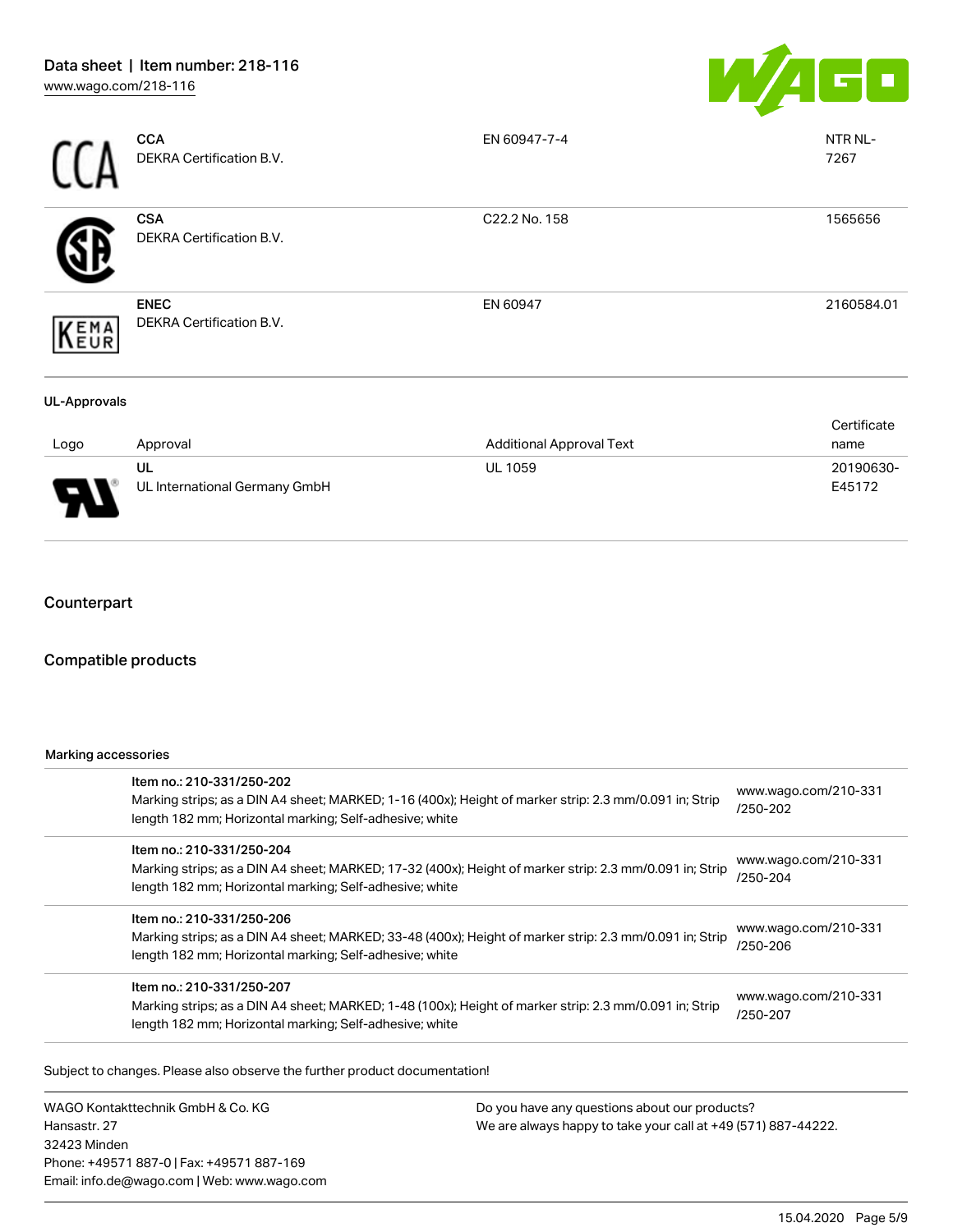

|                     | <b>CCA</b><br>DEKRA Certification B.V.         | EN 60947-7-4                    | NTR NL-<br>7267     |
|---------------------|------------------------------------------------|---------------------------------|---------------------|
|                     | <b>CSA</b><br>DEKRA Certification B.V.         | C22.2 No. 158                   | 1565656             |
| KEMA                | <b>ENEC</b><br><b>DEKRA Certification B.V.</b> | EN 60947                        | 2160584.01          |
| <b>UL-Approvals</b> |                                                |                                 |                     |
| Logo                | Approval                                       | <b>Additional Approval Text</b> | Certificate<br>name |
|                     | UL<br>UL International Germany GmbH            | UL 1059                         | 20190630-<br>E45172 |

# **Counterpart**

#### Compatible products

#### Marking accessories

| Item no.: 210-331/250-202                                                                               | www.wago.com/210-331 |  |
|---------------------------------------------------------------------------------------------------------|----------------------|--|
| Marking strips; as a DIN A4 sheet; MARKED; 1-16 (400x); Height of marker strip: 2.3 mm/0.091 in; Strip  | /250-202             |  |
| length 182 mm; Horizontal marking; Self-adhesive; white                                                 |                      |  |
| Item no.: 210-331/250-204                                                                               |                      |  |
| Marking strips; as a DIN A4 sheet; MARKED; 17-32 (400x); Height of marker strip: 2.3 mm/0.091 in; Strip | www.wago.com/210-331 |  |
| length 182 mm; Horizontal marking; Self-adhesive; white                                                 | /250-204             |  |
| Item no.: 210-331/250-206                                                                               |                      |  |
| Marking strips; as a DIN A4 sheet; MARKED; 33-48 (400x); Height of marker strip: 2.3 mm/0.091 in; Strip | www.wago.com/210-331 |  |
| length 182 mm; Horizontal marking; Self-adhesive; white                                                 | /250-206             |  |
| Item no.: 210-331/250-207                                                                               |                      |  |
| Marking strips; as a DIN A4 sheet; MARKED; 1-48 (100x); Height of marker strip: 2.3 mm/0.091 in; Strip  | www.wago.com/210-331 |  |
| length 182 mm; Horizontal marking; Self-adhesive; white                                                 | /250-207             |  |

.<br>Subject to changes. Please also observe the further product documentation!

WAGO Kontakttechnik GmbH & Co. KG Hansastr. 27 32423 Minden Phone: +49571 887-0 | Fax: +49571 887-169 Email: info.de@wago.com | Web: www.wago.com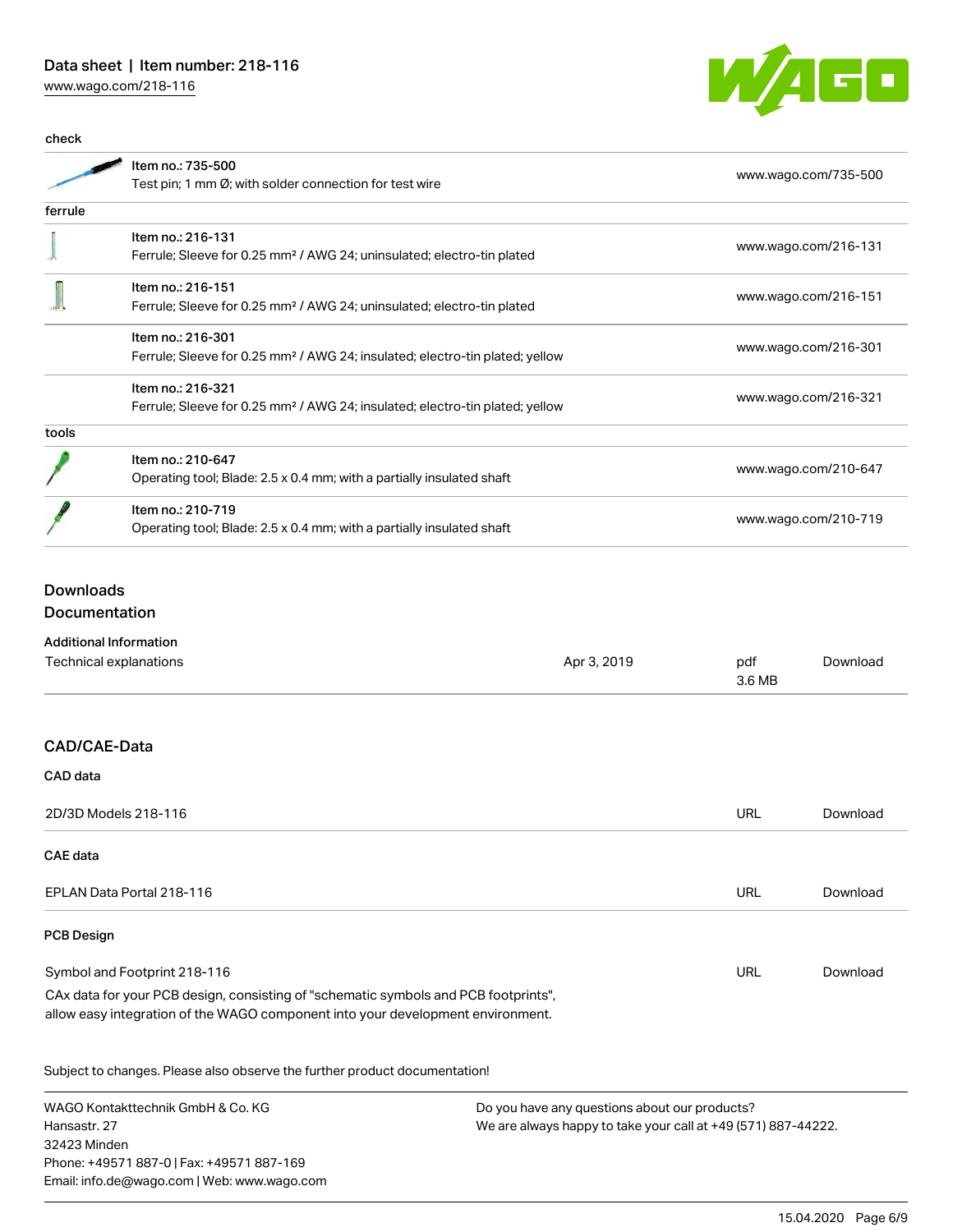# Data sheet | Item number: 218-116

[www.wago.com/218-116](http://www.wago.com/218-116)



| Item no.: 735-500                                                                        |                      |  |
|------------------------------------------------------------------------------------------|----------------------|--|
| Test pin; 1 mm Ø; with solder connection for test wire                                   | www.wago.com/735-500 |  |
|                                                                                          |                      |  |
| Item no.: 216-131                                                                        |                      |  |
| Ferrule; Sleeve for 0.25 mm <sup>2</sup> / AWG 24; uninsulated; electro-tin plated       | www.wago.com/216-131 |  |
| Item no.: 216-151                                                                        |                      |  |
| Ferrule; Sleeve for 0.25 mm <sup>2</sup> / AWG 24; uninsulated; electro-tin plated       | www.wago.com/216-151 |  |
| Item no.: 216-301                                                                        |                      |  |
| Ferrule; Sleeve for 0.25 mm <sup>2</sup> / AWG 24; insulated; electro-tin plated; yellow | www.wago.com/216-301 |  |
| Item no.: 216-321                                                                        |                      |  |
| Ferrule; Sleeve for 0.25 mm <sup>2</sup> / AWG 24; insulated; electro-tin plated; yellow | www.wago.com/216-321 |  |
|                                                                                          |                      |  |
| Item no.: 210-647                                                                        |                      |  |
| Operating tool; Blade: 2.5 x 0.4 mm; with a partially insulated shaft                    | www.wago.com/210-647 |  |
| Item no.: 210-719                                                                        |                      |  |
| Operating tool; Blade: 2.5 x 0.4 mm; with a partially insulated shaft                    | www.wago.com/210-719 |  |
|                                                                                          |                      |  |

# Downloads **Documentation**

| <b>Additional Information</b>                                                                                                                                          |             |               |          |
|------------------------------------------------------------------------------------------------------------------------------------------------------------------------|-------------|---------------|----------|
| Technical explanations                                                                                                                                                 | Apr 3, 2019 | pdf<br>3.6 MB | Download |
|                                                                                                                                                                        |             |               |          |
| CAD/CAE-Data                                                                                                                                                           |             |               |          |
| CAD data                                                                                                                                                               |             |               |          |
| 2D/3D Models 218-116                                                                                                                                                   |             | <b>URL</b>    | Download |
| <b>CAE</b> data                                                                                                                                                        |             |               |          |
| EPLAN Data Portal 218-116                                                                                                                                              |             | URL           | Download |
| <b>PCB Design</b>                                                                                                                                                      |             |               |          |
| Symbol and Footprint 218-116                                                                                                                                           |             | <b>URL</b>    | Download |
| CAx data for your PCB design, consisting of "schematic symbols and PCB footprints",<br>allow easy integration of the WAGO component into your development environment. |             |               |          |
| Subject to changes. Please also observe the further product documentation!                                                                                             |             |               |          |

WAGO Kontakttechnik GmbH & Co. KG Hansastr. 27 32423 Minden Phone: +49571 887-0 | Fax: +49571 887-169 Email: info.de@wago.com | Web: www.wago.com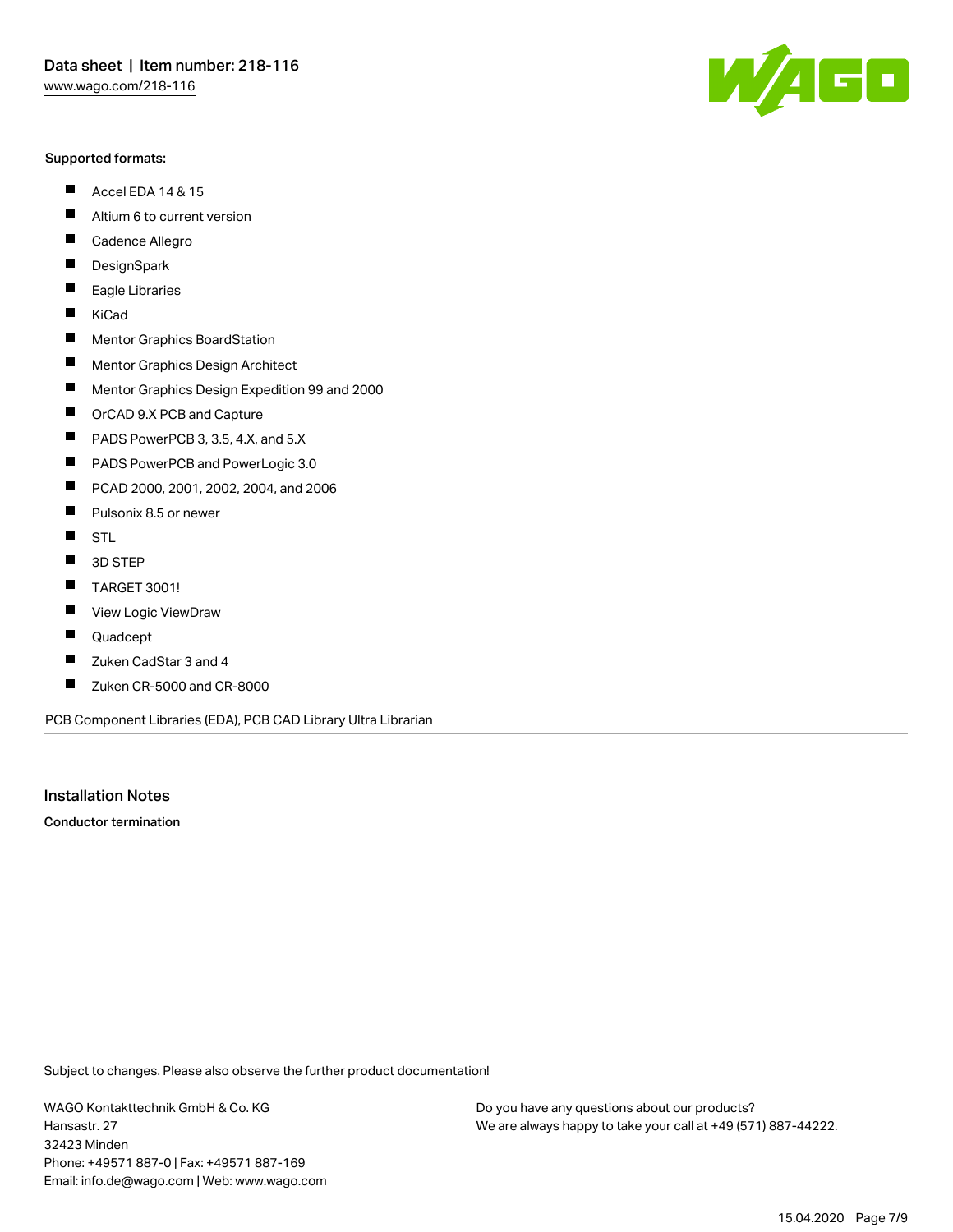#### Supported formats:

- $\blacksquare$ Accel EDA 14 & 15
- $\blacksquare$ Altium 6 to current version
- $\blacksquare$ Cadence Allegro
- $\blacksquare$ **DesignSpark**
- $\blacksquare$ Eagle Libraries
- $\blacksquare$ KiCad
- $\blacksquare$ Mentor Graphics BoardStation
- $\blacksquare$ Mentor Graphics Design Architect
- $\blacksquare$ Mentor Graphics Design Expedition 99 and 2000
- $\blacksquare$ OrCAD 9.X PCB and Capture
- $\blacksquare$ PADS PowerPCB 3, 3.5, 4.X, and 5.X
- $\blacksquare$ PADS PowerPCB and PowerLogic 3.0
- $\blacksquare$ PCAD 2000, 2001, 2002, 2004, and 2006
- $\blacksquare$ Pulsonix 8.5 or newer
- $\blacksquare$ STL
- 3D STEP П
- П TARGET 3001!
- $\blacksquare$ View Logic ViewDraw
- П Quadcept
- $\blacksquare$ Zuken CadStar 3 and 4
- Zuken CR-5000 and CR-8000 П

PCB Component Libraries (EDA), PCB CAD Library Ultra Librarian

Installation Notes

Conductor termination

Subject to changes. Please also observe the further product documentation!

WAGO Kontakttechnik GmbH & Co. KG Hansastr. 27 32423 Minden Phone: +49571 887-0 | Fax: +49571 887-169 Email: info.de@wago.com | Web: www.wago.com

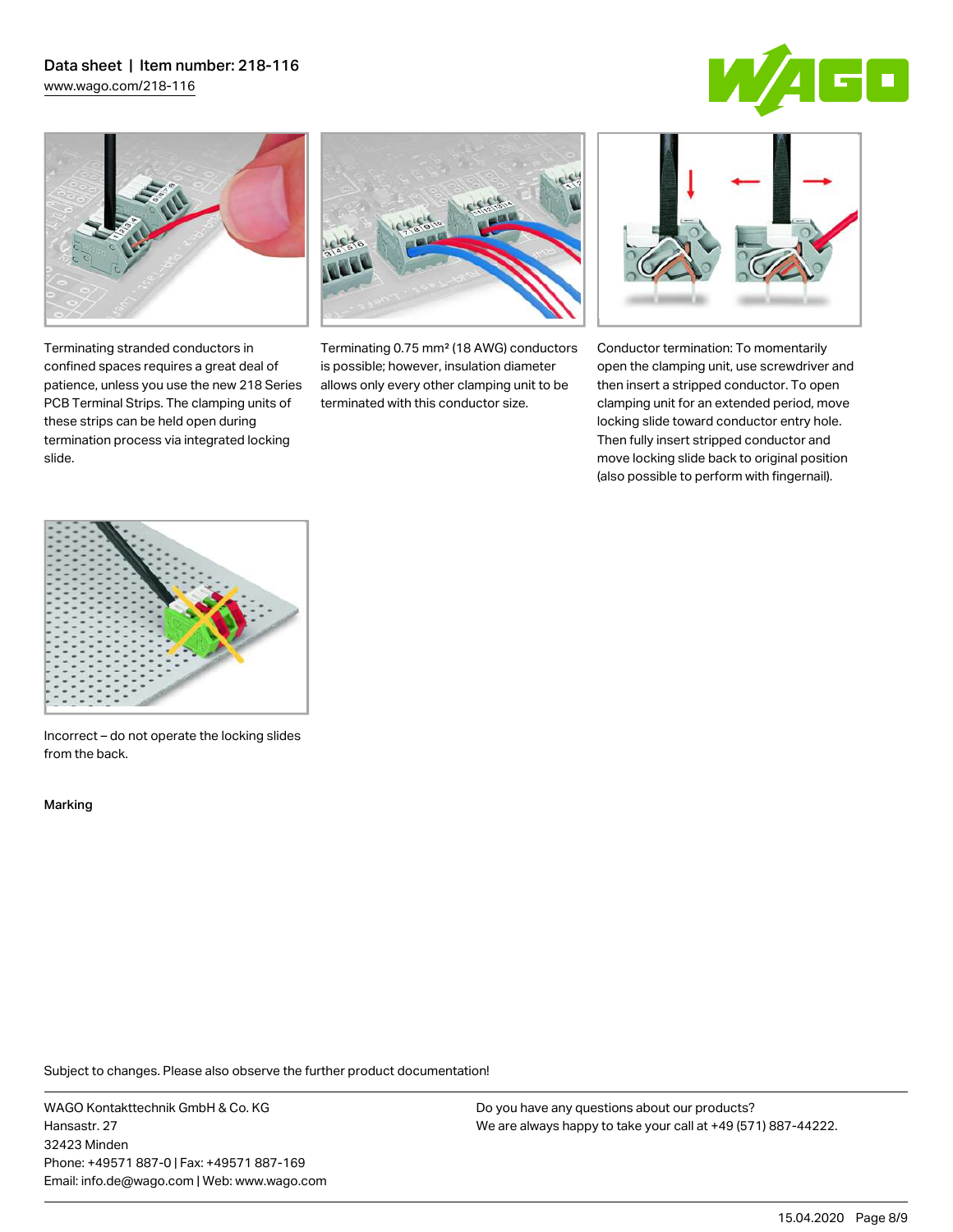# Data sheet | Item number: 218-116

[www.wago.com/218-116](http://www.wago.com/218-116)





Terminating stranded conductors in confined spaces requires a great deal of patience, unless you use the new 218 Series PCB Terminal Strips. The clamping units of these strips can be held open during termination process via integrated locking

Terminating 0.75 mm² (18 AWG) conductors is possible; however, insulation diameter allows only every other clamping unit to be terminated with this conductor size.



Conductor termination: To momentarily open the clamping unit, use screwdriver and then insert a stripped conductor. To open clamping unit for an extended period, move locking slide toward conductor entry hole. Then fully insert stripped conductor and move locking slide back to original position (also possible to perform with fingernail).



Incorrect – do not operate the locking slides from the back.

Marking

slide.

Subject to changes. Please also observe the further product documentation!

WAGO Kontakttechnik GmbH & Co. KG Hansastr. 27 32423 Minden Phone: +49571 887-0 | Fax: +49571 887-169 Email: info.de@wago.com | Web: www.wago.com